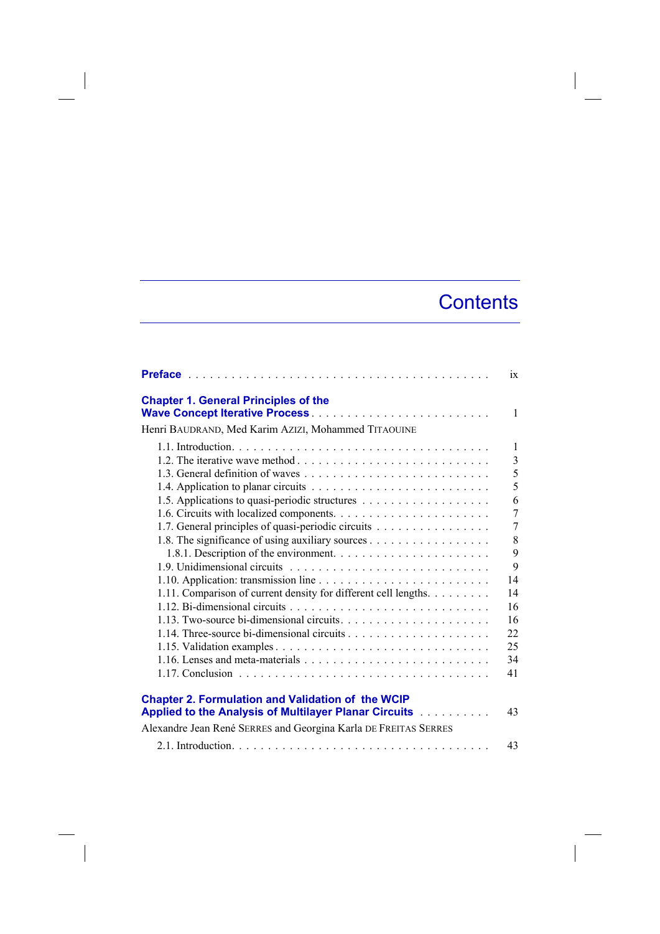## **Contents**

|                                                                                                                                      | ix             |
|--------------------------------------------------------------------------------------------------------------------------------------|----------------|
| <b>Chapter 1. General Principles of the</b><br>Wave Concept Iterative Process<br>Henri BAUDRAND, Med Karim AZIZI, Mohammed TITAOUINE | $\mathbf{1}$   |
|                                                                                                                                      |                |
|                                                                                                                                      | $\mathbf{1}$   |
|                                                                                                                                      | $\overline{3}$ |
|                                                                                                                                      | 5              |
|                                                                                                                                      | 5              |
|                                                                                                                                      | 6              |
|                                                                                                                                      | $\overline{7}$ |
| 1.7. General principles of quasi-periodic circuits                                                                                   | $\overline{7}$ |
| 1.8. The significance of using auxiliary sources                                                                                     | 8              |
|                                                                                                                                      | 9              |
|                                                                                                                                      | 9              |
|                                                                                                                                      | 14             |
| 1.11. Comparison of current density for different cell lengths.                                                                      | 14             |
|                                                                                                                                      | 16             |
| 1.13. Two-source bi-dimensional circuits. $\dots \dots \dots \dots \dots \dots \dots \dots$                                          | 16             |
|                                                                                                                                      | 22             |
|                                                                                                                                      | 25             |
|                                                                                                                                      | 34             |
|                                                                                                                                      | 41             |
|                                                                                                                                      |                |
| <b>Chapter 2. Formulation and Validation of the WCIP</b><br><b>Applied to the Analysis of Multilayer Planar Circuits</b>             | 43             |
| Alexandre Jean René SERRES and Georgina Karla DE FREITAS SERRES                                                                      |                |
|                                                                                                                                      | 43             |

 $\overline{\phantom{a}}$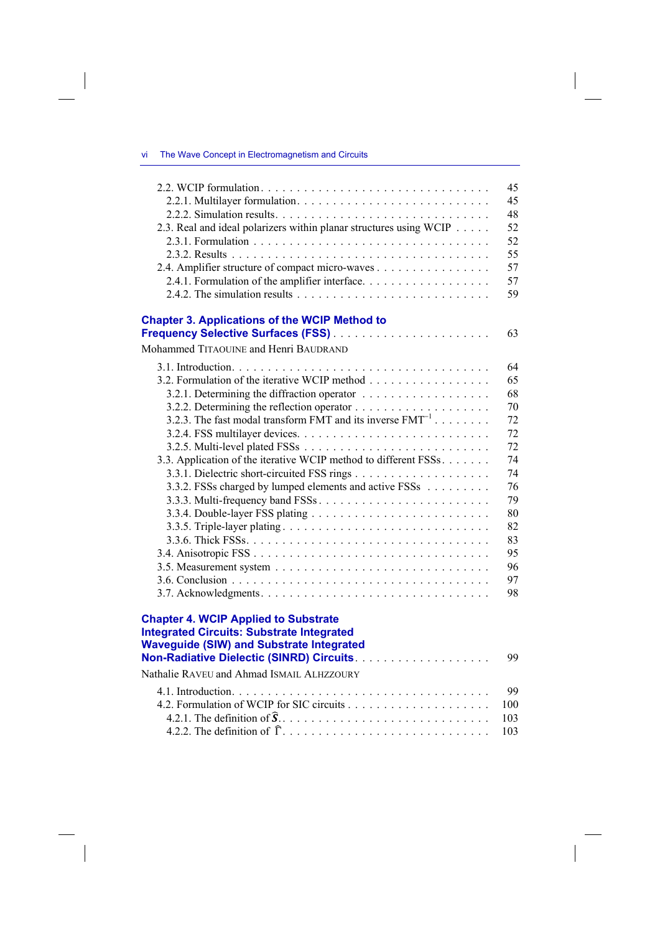| The Wave Concept in Electromagnetism and Circuits | - vi |  |  |  |  |  |
|---------------------------------------------------|------|--|--|--|--|--|
|---------------------------------------------------|------|--|--|--|--|--|

|                                                                                                                                                                                                 | 45  |
|-------------------------------------------------------------------------------------------------------------------------------------------------------------------------------------------------|-----|
|                                                                                                                                                                                                 | 45  |
|                                                                                                                                                                                                 | 48  |
| 2.3. Real and ideal polarizers within planar structures using WCIP                                                                                                                              | 52  |
|                                                                                                                                                                                                 | 52  |
|                                                                                                                                                                                                 | 55  |
| 2.4. Amplifier structure of compact micro-waves                                                                                                                                                 | 57  |
| 2.4.1. Formulation of the amplifier interface.                                                                                                                                                  | 57  |
| 2.4.2. The simulation results $\dots \dots \dots \dots \dots \dots \dots \dots \dots \dots$                                                                                                     | 59  |
| <b>Chapter 3. Applications of the WCIP Method to</b>                                                                                                                                            |     |
|                                                                                                                                                                                                 | 63  |
| Mohammed TITAOUINE and Henri BAUDRAND                                                                                                                                                           |     |
|                                                                                                                                                                                                 | 64  |
| 3.2. Formulation of the iterative WCIP method                                                                                                                                                   | 65  |
|                                                                                                                                                                                                 | 68  |
|                                                                                                                                                                                                 | 70  |
| 3.2.3. The fast modal transform FMT and its inverse $FMT^{-1}$                                                                                                                                  | 72  |
|                                                                                                                                                                                                 | 72  |
|                                                                                                                                                                                                 | 72  |
| 3.3. Application of the iterative WCIP method to different FSSs.                                                                                                                                | 74  |
|                                                                                                                                                                                                 | 74  |
| 3.3.2. FSSs charged by lumped elements and active FSSs                                                                                                                                          | 76  |
|                                                                                                                                                                                                 | 79  |
|                                                                                                                                                                                                 | 80  |
| 3.3.5. Triple-layer plating                                                                                                                                                                     | 82  |
|                                                                                                                                                                                                 | 83  |
|                                                                                                                                                                                                 | 95  |
|                                                                                                                                                                                                 | 96  |
|                                                                                                                                                                                                 | 97  |
|                                                                                                                                                                                                 | 98  |
| <b>Chapter 4. WCIP Applied to Substrate</b><br><b>Integrated Circuits: Substrate Integrated</b><br><b>Waveguide (SIW) and Substrate Integrated</b><br>Non-Radiative Dielectic (SINRD) Circuits. | 99  |
| Nathalie RAVEU and Ahmad ISMAIL ALHZZOURY                                                                                                                                                       |     |
|                                                                                                                                                                                                 | 99  |
|                                                                                                                                                                                                 | 100 |
|                                                                                                                                                                                                 | 103 |

4.2.2. The definition of \* . . . . . . . . . . . . . . . . . . . . . . . . . . . . . 103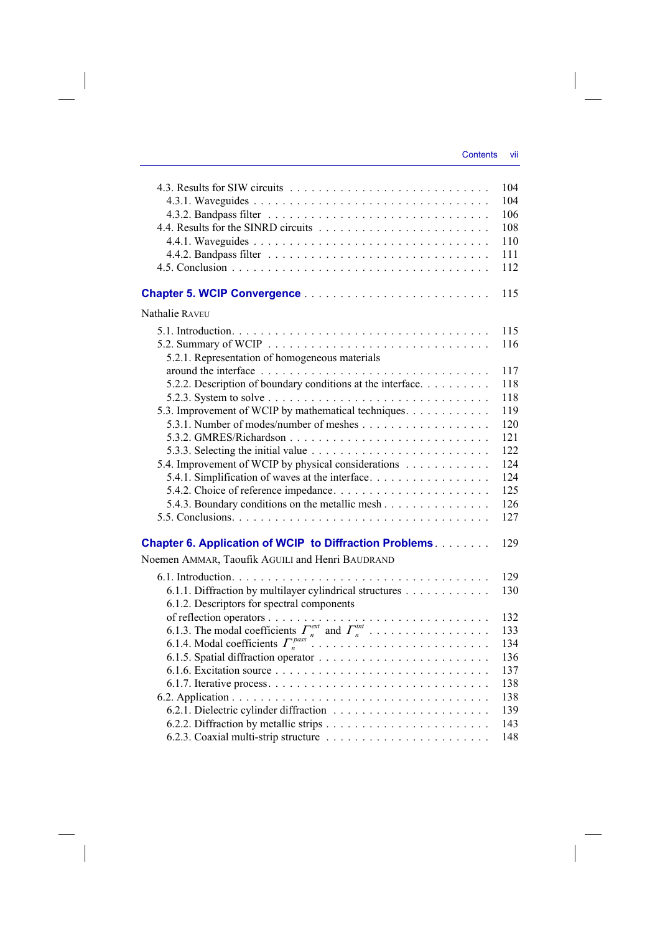$\overline{\phantom{a}}$ 

|                                                                                                                  | 104<br>104<br>106<br>108<br>110<br>111<br>112 |
|------------------------------------------------------------------------------------------------------------------|-----------------------------------------------|
|                                                                                                                  | 115                                           |
| Nathalie RAVEU                                                                                                   |                                               |
| 5.2.1. Representation of homogeneous materials                                                                   | 115<br>116                                    |
| 5.2.2. Description of boundary conditions at the interface.                                                      | 117<br>118                                    |
| 5.2.3. System to solve $\ldots \ldots \ldots \ldots \ldots \ldots \ldots \ldots \ldots \ldots$                   | 118                                           |
| 5.3. Improvement of WCIP by mathematical techniques.                                                             | 119                                           |
|                                                                                                                  | 120                                           |
|                                                                                                                  | 121                                           |
| 5.3.3. Selecting the initial value $\ldots \ldots \ldots \ldots \ldots \ldots \ldots \ldots$                     | 122                                           |
| 5.4. Improvement of WCIP by physical considerations                                                              | 124                                           |
| 5.4.1. Simplification of waves at the interface                                                                  | 124                                           |
|                                                                                                                  | 125                                           |
| 5.4.3. Boundary conditions on the metallic mesh                                                                  | 126                                           |
|                                                                                                                  | 127                                           |
| <b>Chapter 6. Application of WCIP to Diffraction Problems</b><br>Noemen AMMAR, Taoufik AGUILI and Henri BAUDRAND | 129                                           |
|                                                                                                                  | 129                                           |
| 6.1.1. Diffraction by multilayer cylindrical structures<br>6.1.2. Descriptors for spectral components            | 130                                           |
|                                                                                                                  | 132                                           |
|                                                                                                                  | 133                                           |
|                                                                                                                  | 134                                           |
|                                                                                                                  | 136                                           |
|                                                                                                                  | 137                                           |
|                                                                                                                  | 138                                           |
|                                                                                                                  | 138<br>139                                    |
|                                                                                                                  | 143                                           |
|                                                                                                                  | 148                                           |
|                                                                                                                  |                                               |

 $\overline{\phantom{a}}$ 

 $\begin{array}{c} \hline \end{array}$